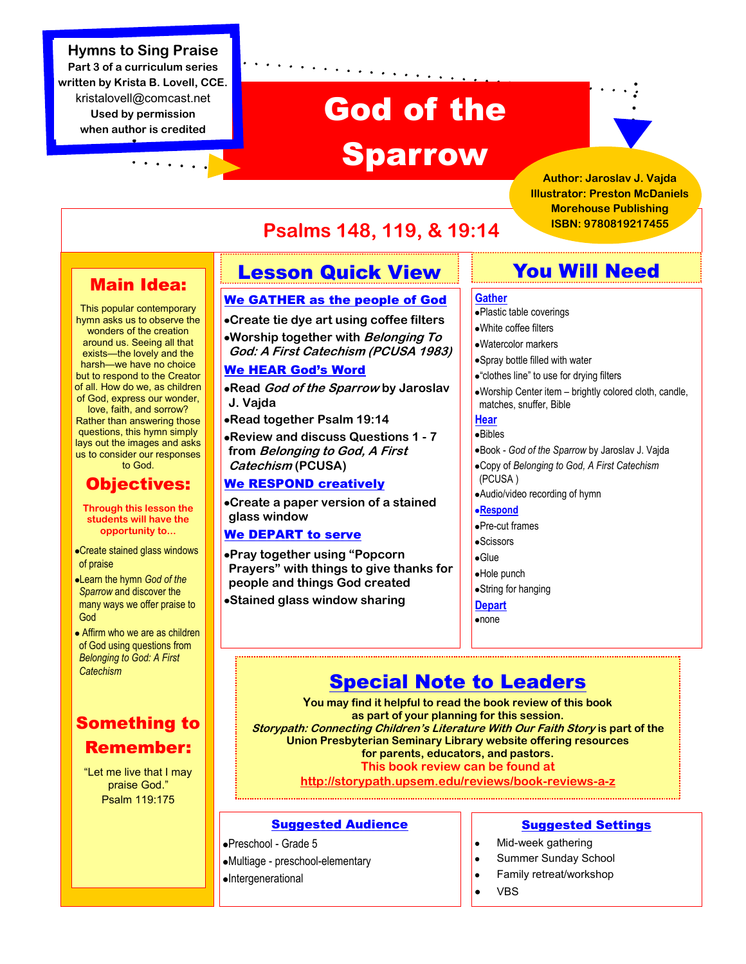# **Hymns to Sing Praise Part 3 of a curriculum series written by Krista B. Lovell, CCE.**  kristalovell@comcast.net **Used by permission**

**when author is credited**

# God of the Sparrow



**Author: Jaroslav J. Vajda Illustrator: Preston McDaniels Morehouse Publishing ISBN: 9780819217455**

# **Psalms 148, 119, & 19:14**

# Main Idea:

This popular contemporary hymn asks us to observe the wonders of the creation around us. Seeing all that exists—the lovely and the harsh—we have no choice but to respond to the Creator of all. How do we, as children of God, express our wonder, love, faith, and sorrow? Rather than answering those questions, this hymn simply lays out the images and asks us to consider our responses to God.

# Objectives:

**Through this lesson the students will have the opportunity to...**

- Create stained glass windows of praise
- Learn the hymn *God of the Sparrow* and discover the many ways we offer praise to God
- Affirm who we are as children of God using questions from *Belonging to God: A First Catechism*

# Something to Remember:

"Let me live that I may praise God." Psalm 119:175

# Lesson Quick View

# We GATHER as the people of God

**Create tie dye art using coffee filters**

**Worship together with Belonging To God: A First Catechism (PCUSA 1983)**

# We HEAR God's Word

**Read God of the Sparrow by Jaroslav J. Vajda**

**Read together Psalm 19:14**

**Review and discuss Questions 1 - 7 from Belonging to God, A First Catechism (PCUSA)**

# We RESPOND creatively

**Create a paper version of a stained glass window**

# We DEPART to serve

**Pray together using "Popcorn Prayers" with things to give thanks for people and things God created**

**Stained glass window sharing**

# You Will Need

- Plastic table coverings
- White coffee filters
- Watercolor markers
- Spray bottle filled with water
- "clothes line" to use for drying filters
- Worship Center item brightly colored cloth, candle, matches, snuffer, Bible

## **Hear**

Bibles

- Book *God of the Sparrow* by Jaroslav J. Vajda
- Copy of *Belonging to God, A First Catechism* (PCUSA )
- Audio/video recording of hymn

## **Respond**

- Pre-cut frames
- **•Scissors**
- Glue
- Hole punch
- String for hanging
- **Depart**
- •none

# Special Note to Leaders

**You may find it helpful to read the book review of this book as part of your planning for this session. Storypath: Connecting Children's Literature With Our Faith Story is part of the Union Presbyterian Seminary Library website offering resources for parents, educators, and pastors. This book review can be found at http://storypath.upsem.edu/reviews/book-reviews-a-z**

# Suggested Audience

Preschool - Grade 5 Multiage - preschool-elementary Intergenerational

# Suggested Settings

- Mid-week gathering  $\bullet$
- Summer Sunday School  $\bullet$
- Family retreat/workshop
- VBS

#### **Gather**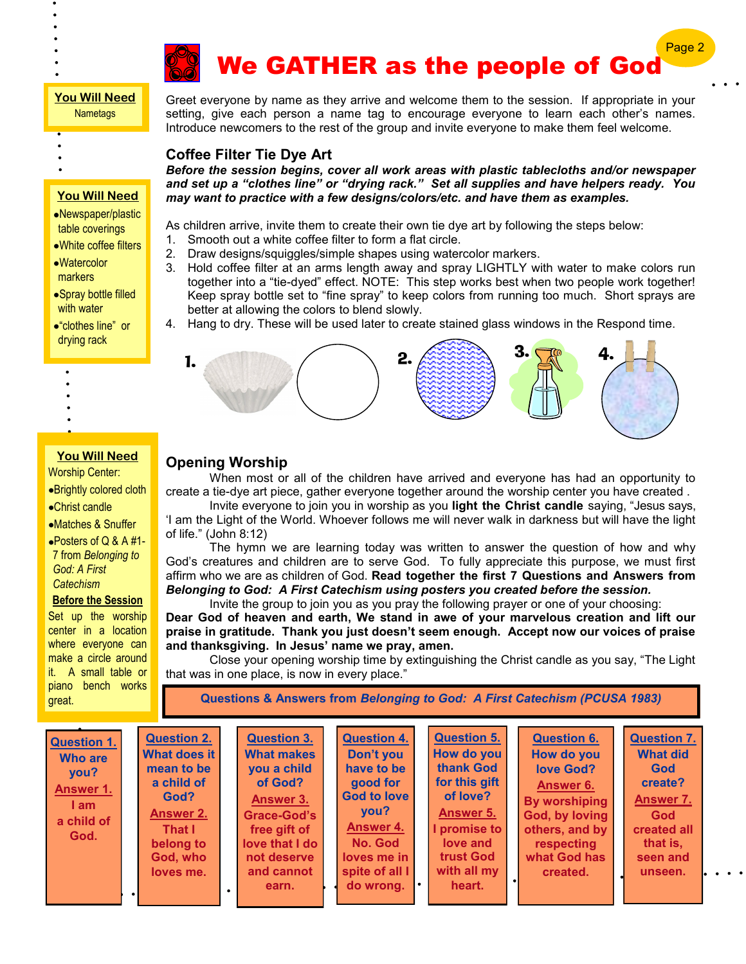

# We GATHER as the people of God

Page

## **You Will Need Nametags**

- 
- 

# **You Will Need**

- Newspaper/plastic table coverings
- White coffee filters
- Watercolor markers
- Spray bottle filled with water
- "clothes line" or drying rack
- 
- 
- 
- -
	-
	-
	-
	-
- **You Will Need**
- Worship Center:
- Brightly colored cloth
- Christ candle
- Matches & Snuffer
- Posters of Q & A #1- 7 from *Belonging to God: A First Catechism*

# **Before the Session**

Set up the worship center in a location where everyone can make a circle around it. A small table or piano bench works great.

Greet everyone by name as they arrive and welcome them to the session. If appropriate in your setting, give each person a name tag to encourage everyone to learn each other's names. Introduce newcomers to the rest of the group and invite everyone to make them feel welcome.

# **Coffee Filter Tie Dye Art**

*Before the session begins, cover all work areas with plastic tablecloths and/or newspaper and set up a "clothes line" or "drying rack." Set all supplies and have helpers ready. You may want to practice with a few designs/colors/etc. and have them as examples.*

As children arrive, invite them to create their own tie dye art by following the steps below:

- 1. Smooth out a white coffee filter to form a flat circle.
- 2. Draw designs/squiggles/simple shapes using watercolor markers.
- 3. Hold coffee filter at an arms length away and spray LIGHTLY with water to make colors run together into a "tie-dyed" effect. NOTE: This step works best when two people work together! Keep spray bottle set to "fine spray" to keep colors from running too much. Short sprays are better at allowing the colors to blend slowly.
- 4. Hang to dry. These will be used later to create stained glass windows in the Respond time.



# **Opening Worship**

When most or all of the children have arrived and everyone has had an opportunity to create a tie-dye art piece, gather everyone together around the worship center you have created .

Invite everyone to join you in worship as you **light the Christ candle** saying, "Jesus says, 'I am the Light of the World. Whoever follows me will never walk in darkness but will have the light of life." (John 8:12)

The hymn we are learning today was written to answer the question of how and why God's creatures and children are to serve God. To fully appreciate this purpose, we must first affirm who we are as children of God. **Read together the first 7 Questions and Answers from**  *Belonging to God: A First Catechism using posters you created before the session.*

Invite the group to join you as you pray the following prayer or one of your choosing: **Dear God of heaven and earth, We stand in awe of your marvelous creation and lift our praise in gratitude. Thank you just doesn't seem enough. Accept now our voices of praise and thanksgiving. In Jesus' name we pray, amen.**

Close your opening worship time by extinguishing the Christ candle as you say, "The Light that was in one place, is now in every place."

**Questions & Answers from** *Belonging to God: A First Catechism (PCUSA 1983)*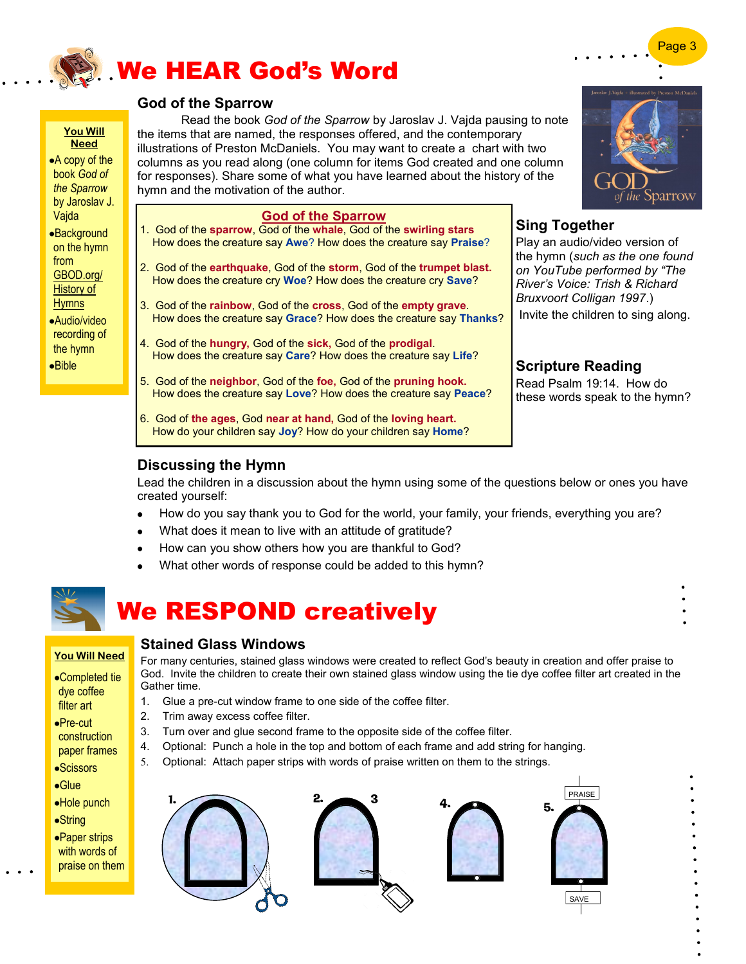

# **God of the Sparrow**

Read the book *God of the Sparrow* by Jaroslav J. Vajda pausing to note the items that are named, the responses offered, and the contemporary illustrations of Preston McDaniels. You may want to create a chart with two columns as you read along (one column for items God created and one column for responses). Share some of what you have learned about the history of the hymn and the motivation of the author.

## **God of the Sparrow**

- 1. God of the **sparrow**, God of the **whale**, God of the **swirling stars** How does the creature say **Awe**? How does the creature say **Praise**?
- 2. God of the **earthquake**, God of the **storm**, God of the **trumpet blast.** How does the creature cry **Woe**? How does the creature cry **Save**?
- 3. God of the **rainbow**, God of the **cross**, God of the **empty grave**. How does the creature say **Grace**? How does the creature say **Thanks**?
- 4. God of the **hungry,** God of the **sick,** God of the **prodigal**. How does the creature say **Care**? How does the creature say **Life**?
- 5. God of the **neighbor**, God of the **foe,** God of the **pruning hook.** How does the creature say **Love**? How does the creature say **Peace**?
- 6. God of **the ages**, God **near at hand,** God of the **loving heart.** How do your children say **Joy**? How do your children say **Home**?

# **Sing Together**

Play an audio/video version of the hymn (*such as the one found on YouTube performed by "The River's Voice: Trish & Richard Bruxvoort Colligan 1997*.)

Invite the children to sing along.

# **Scripture Reading**

Read Psalm 19:14. How do these words speak to the hymn?

# **Discussing the Hymn**

Lead the children in a discussion about the hymn using some of the questions below or ones you have created yourself:

- How do you say thank you to God for the world, your family, your friends, everything you are?
- What does it mean to live with an attitude of gratitude?
- How can you show others how you are thankful to God?
- What other words of response could be added to this hymn?



**You Will Need** A copy of the book *God of the Sparrow*  by Jaroslav J. Vajda Background on the hymn from GBOD.org/ History of **Hymns** Audio/video recording of the hymn Bible

# We RESPOND creatively

# **You Will Need**

- Completed tie dye coffee filter art
- Pre-cut
- construction paper frames
- **•Scissors**
- Glue
- Hole punch
- String
- Paper strips with words of praise on them

For many centuries, stained glass windows were created to reflect God's beauty in creation and offer praise to God. Invite the children to create their own stained glass window using the tie dye coffee filter art created in the Gather time.

- 1. Glue a pre-cut window frame to one side of the coffee filter.
- 2. Trim away excess coffee filter.

**Stained Glass Windows**

- 3. Turn over and glue second frame to the opposite side of the coffee filter.
- 4. Optional: Punch a hole in the top and bottom of each frame and add string for hanging.
- 5. Optional: Attach paper strips with words of praise written on them to the strings.



parrow